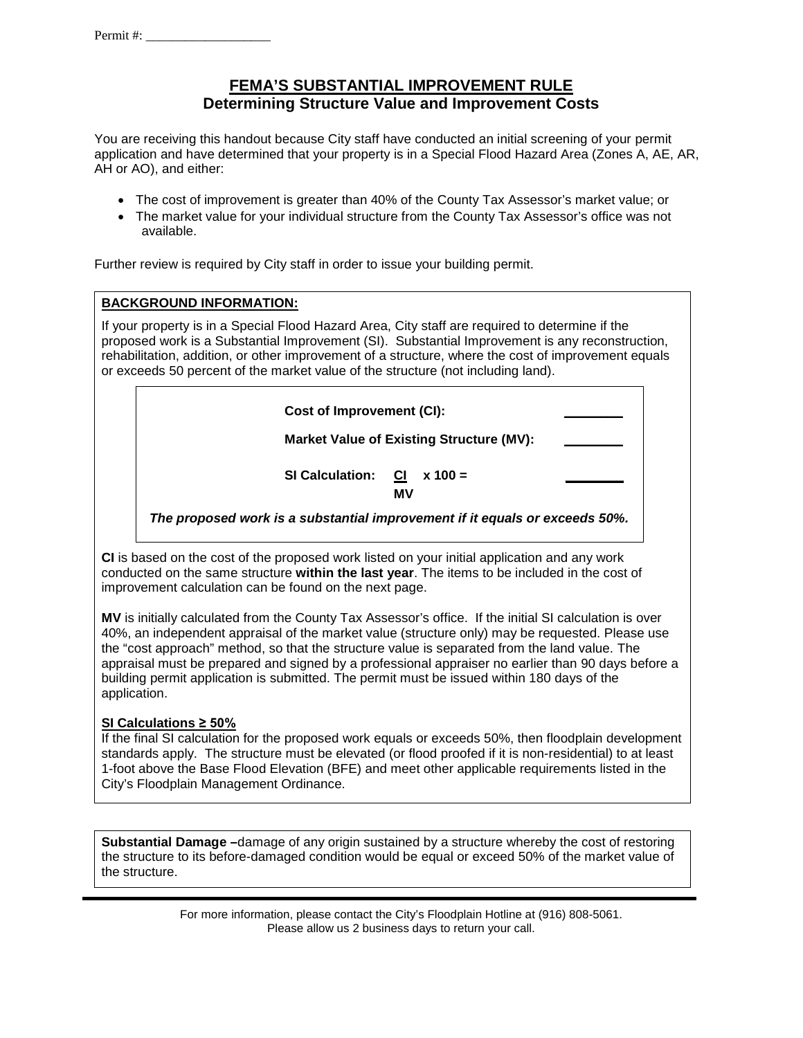| Permit#: |
|----------|
|----------|

## **FEMA'S SUBSTANTIAL IMPROVEMENT RULE Determining Structure Value and Improvement Costs**

You are receiving this handout because City staff have conducted an initial screening of your permit application and have determined that your property is in a Special Flood Hazard Area (Zones A, AE, AR, AH or AO), and either:

- The cost of improvement is greater than 40% of the County Tax Assessor's market value; or
- The market value for your individual structure from the County Tax Assessor's office was not available.

Further review is required by City staff in order to issue your building permit.

### **BACKGROUND INFORMATION:**

If your property is in a Special Flood Hazard Area, City staff are required to determine if the proposed work is a Substantial Improvement (SI). Substantial Improvement is any reconstruction, rehabilitation, addition, or other improvement of a structure, where the cost of improvement equals or exceeds 50 percent of the market value of the structure (not including land).

**Cost of Improvement (CI): \_\_\_\_\_\_\_\_**

**Market Value of Existing Structure (MV):** 

**SI Calculation: CI x 100 = \_\_\_\_\_\_\_\_ MV**

*The proposed work is a substantial improvement if it equals or exceeds 50%.*

**CI** is based on the cost of the proposed work listed on your initial application and any work conducted on the same structure **within the last year**. The items to be included in the cost of improvement calculation can be found on the next page.

**MV** is initially calculated from the County Tax Assessor's office. If the initial SI calculation is over 40%, an independent appraisal of the market value (structure only) may be requested. Please use the "cost approach" method, so that the structure value is separated from the land value. The appraisal must be prepared and signed by a professional appraiser no earlier than 90 days before a building permit application is submitted. The permit must be issued within 180 days of the application.

### **SI Calculations ≥ 50%**

If the final SI calculation for the proposed work equals or exceeds 50%, then floodplain development standards apply. The structure must be elevated (or flood proofed if it is non-residential) to at least 1-foot above the Base Flood Elevation (BFE) and meet other applicable requirements listed in the City's Floodplain Management Ordinance.

**Substantial Damage –**damage of any origin sustained by a structure whereby the cost of restoring the structure to its before-damaged condition would be equal or exceed 50% of the market value of the structure.

> For more information, please contact the City's Floodplain Hotline at (916) 808-5061. Please allow us 2 business days to return your call.